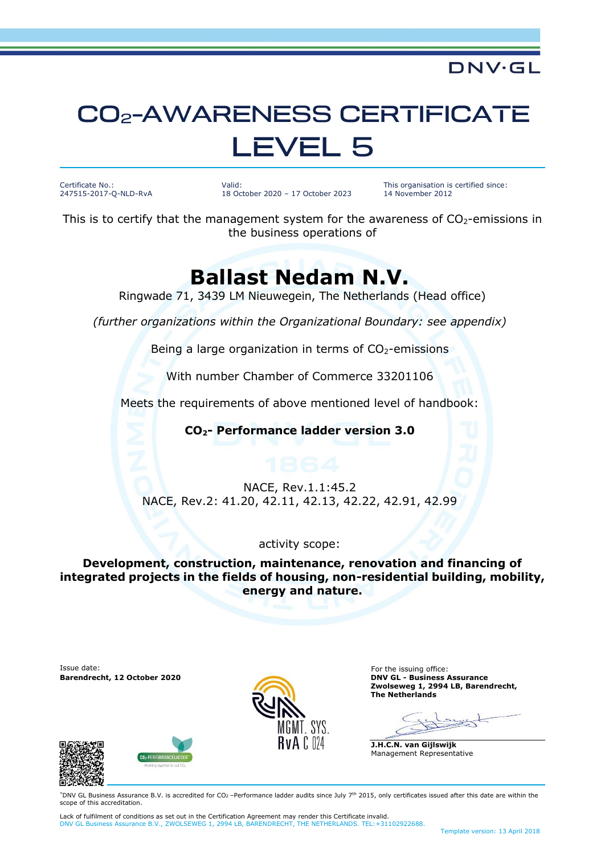# **CO<sub>2</sub>-AWARENESS CERTIFICATE LEVEL 5**

Certificate No.: 247515-2017-Q-NLD-RvA Valid: 18 October 2020 – 17 October 2023 This organisation is certified since: 14 November 2012

**DNV·GL** 

This is to certify that the management system for the awareness of  $CO<sub>2</sub>$ -emissions in the business operations of

### **Ballast Nedam N.V.**

Ringwade 71, 3439 LM Nieuwegein, The Netherlands (Head office)

*(further organizations within the Organizational Boundary: see appendix)*

Being a large organization in terms of  $CO<sub>2</sub>$ -emissions

With number Chamber of Commerce 33201106

Meets the requirements of above mentioned level of handbook:

**CO2- Performance ladder version 3.0**

#### NACE, Rev.1.1:45.2 NACE, Rev.2: 41.20, 42.11, 42.13, 42.22, 42.91, 42.99

#### activity scope:

**Development, construction, maintenance, renovation and financing of integrated projects in the fields of housing, non-residential building, mobility, energy and nature.**

**Issue date:** For the issuing office: For the issuing office: **Barendrecht, 12 October 2020 DNV GL - Business Assurance**



**Zwolseweg 1, 2994 LB, Barendrecht, The Netherlands**

**J.H.C.N. van Gijlswijk** Management Representative





\*DNV GL Business Assurance B.V. is accredited for CO2 –Performance ladder audits since July 7 th 2015, only certificates issued after this date are within the scope of this accreditation.

Lack of fulfilment of conditions as set out in the Certification Agreement may render this Certificate invalid. DNV GL Business Assurance B.V., ZWOLSEWEG 1, 2994 LB, BARENDRECHT, THE NETHERLANDS. TEL:+31102922688.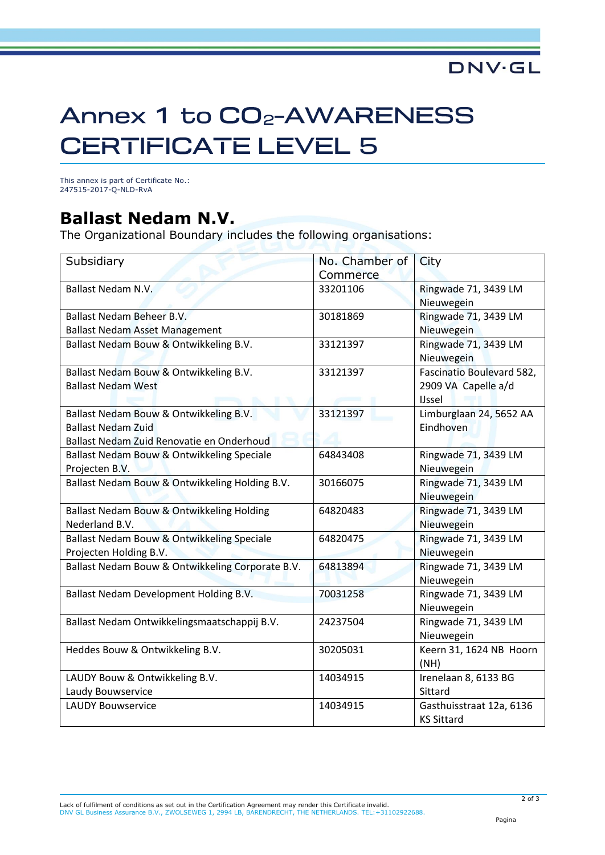#### **DNV·GL**

## Annex 1 to CO<sub>2</sub>-AWARENESS **CERTIFICATE LEVEL 5**

This annex is part of Certificate No.: 247515-2017-Q-NLD-RvA

### **Ballast Nedam N.V.**

The Organizational Boundary includes the following organisations:

| Subsidiary                                       | No. Chamber of | City                      |
|--------------------------------------------------|----------------|---------------------------|
|                                                  | Commerce       |                           |
| <b>Ballast Nedam N.V.</b>                        | 33201106       | Ringwade 71, 3439 LM      |
|                                                  |                | Nieuwegein                |
| Ballast Nedam Beheer B.V.                        | 30181869       | Ringwade 71, 3439 LM      |
| <b>Ballast Nedam Asset Management</b>            |                | Nieuwegein                |
| Ballast Nedam Bouw & Ontwikkeling B.V.           | 33121397       | Ringwade 71, 3439 LM      |
|                                                  |                | Nieuwegein                |
| Ballast Nedam Bouw & Ontwikkeling B.V.           | 33121397       | Fascinatio Boulevard 582, |
| <b>Ballast Nedam West</b>                        |                | 2909 VA Capelle a/d       |
|                                                  |                | <b>IJssel</b>             |
| Ballast Nedam Bouw & Ontwikkeling B.V.           | 33121397       | Limburglaan 24, 5652 AA   |
| <b>Ballast Nedam Zuid</b>                        |                | Eindhoven                 |
| Ballast Nedam Zuid Renovatie en Onderhoud        |                |                           |
| Ballast Nedam Bouw & Ontwikkeling Speciale       | 64843408       | Ringwade 71, 3439 LM      |
| Projecten B.V.                                   |                | Nieuwegein                |
| Ballast Nedam Bouw & Ontwikkeling Holding B.V.   | 30166075       | Ringwade 71, 3439 LM      |
|                                                  |                | Nieuwegein                |
| Ballast Nedam Bouw & Ontwikkeling Holding        | 64820483       | Ringwade 71, 3439 LM      |
| Nederland B.V.                                   |                | Nieuwegein                |
| Ballast Nedam Bouw & Ontwikkeling Speciale       | 64820475       | Ringwade 71, 3439 LM      |
| Projecten Holding B.V.                           |                | Nieuwegein                |
| Ballast Nedam Bouw & Ontwikkeling Corporate B.V. | 64813894       | Ringwade 71, 3439 LM      |
|                                                  |                | Nieuwegein                |
| Ballast Nedam Development Holding B.V.           | 70031258       | Ringwade 71, 3439 LM      |
|                                                  |                | Nieuwegein                |
| Ballast Nedam Ontwikkelingsmaatschappij B.V.     | 24237504       | Ringwade 71, 3439 LM      |
|                                                  |                | Nieuwegein                |
| Heddes Bouw & Ontwikkeling B.V.                  | 30205031       | Keern 31, 1624 NB Hoorn   |
|                                                  |                | (NH)                      |
| LAUDY Bouw & Ontwikkeling B.V.                   | 14034915       | Irenelaan 8, 6133 BG      |
| Laudy Bouwservice                                |                | Sittard                   |
| <b>LAUDY Bouwservice</b>                         | 14034915       | Gasthuisstraat 12a, 6136  |
|                                                  |                | <b>KS Sittard</b>         |

2 of 3